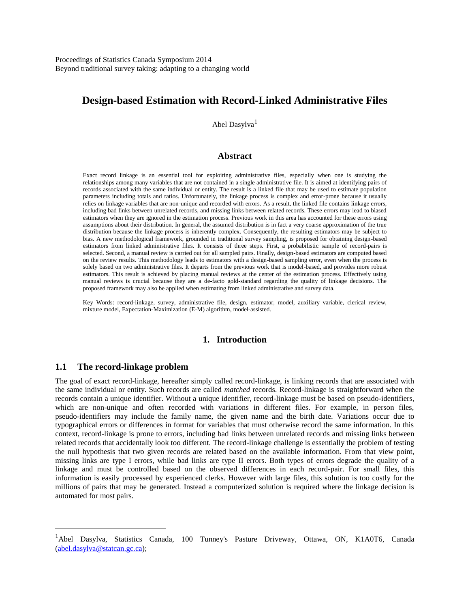# **Design-based Estimation with Record-Linked Administrative Files**

Abel Dasylva<sup>1</sup>

### **Abstract**

Exact record linkage is an essential tool for exploiting administrative files, especially when one is studying the relationships among many variables that are not contained in a single administrative file. It is aimed at identifying pairs of records associated with the same individual or entity. The result is a linked file that may be used to estimate population parameters including totals and ratios. Unfortunately, the linkage process is complex and error-prone because it usually relies on linkage variables that are non-unique and recorded with errors. As a result, the linked file contains linkage errors, including bad links between unrelated records, and missing links between related records. These errors may lead to biased estimators when they are ignored in the estimation process. Previous work in this area has accounted for these errors using assumptions about their distribution. In general, the assumed distribution is in fact a very coarse approximation of the true distribution because the linkage process is inherently complex. Consequently, the resulting estimators may be subject to bias. A new methodological framework, grounded in traditional survey sampling, is proposed for obtaining design-based estimators from linked administrative files. It consists of three steps. First, a probabilistic sample of record-pairs is selected. Second, a manual review is carried out for all sampled pairs. Finally, design-based estimators are computed based on the review results. This methodology leads to estimators with a design-based sampling error, even when the process is solely based on two administrative files. It departs from the previous work that is model-based, and provides more robust estimators. This result is achieved by placing manual reviews at the center of the estimation process. Effectively using manual reviews is crucial because they are a de-facto gold-standard regarding the quality of linkage decisions. The proposed framework may also be applied when estimating from linked administrative and survey data.

Key Words: record-linkage, survey, administrative file, design, estimator, model, auxiliary variable, clerical review, mixture model, Expectation-Maximization (E-M) algorithm, model-assisted.

### **1. Introduction**

### **1.1 The record-linkage problem**

 $\overline{a}$ 

The goal of exact record-linkage, hereafter simply called record-linkage, is linking records that are associated with the same individual or entity. Such records are called *matched* records. Record-linkage is straightforward when the records contain a unique identifier. Without a unique identifier, record-linkage must be based on pseudo-identifiers, which are non-unique and often recorded with variations in different files. For example, in person files, pseudo-identifiers may include the family name, the given name and the birth date. Variations occur due to typographical errors or differences in format for variables that must otherwise record the same information. In this context, record-linkage is prone to errors, including bad links between unrelated records and missing links between related records that accidentally look too different. The record-linkage challenge is essentially the problem of testing the null hypothesis that two given records are related based on the available information. From that view point, missing links are type I errors, while bad links are type II errors. Both types of errors degrade the quality of a linkage and must be controlled based on the observed differences in each record-pair. For small files, this information is easily processed by experienced clerks. However with large files, this solution is too costly for the millions of pairs that may be generated. Instead a computerized solution is required where the linkage decision is automated for most pairs.

<sup>&</sup>lt;sup>1</sup>Abel Dasylva, Statistics Canada, 100 Tunney's Pasture Driveway, Ottawa, ON, K1A0T6, Canada [\(abel.dasylva@statcan.gc.ca\)](mailto:abel.dasylva@statcan.gc.ca);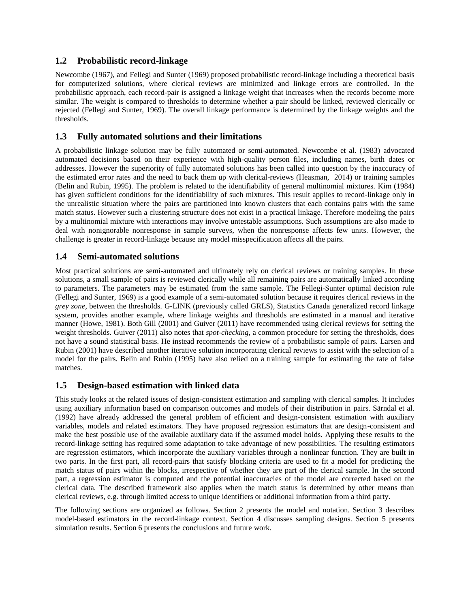# **1.2 Probabilistic record-linkage**

Newcombe (1967), and Fellegi and Sunter (1969) proposed probabilistic record-linkage including a theoretical basis for computerized solutions, where clerical reviews are minimized and linkage errors are controlled. In the probabilistic approach, each record-pair is assigned a linkage weight that increases when the records become more similar. The weight is compared to thresholds to determine whether a pair should be linked, reviewed clerically or rejected (Fellegi and Sunter, 1969). The overall linkage performance is determined by the linkage weights and the thresholds.

# **1.3 Fully automated solutions and their limitations**

A probabilistic linkage solution may be fully automated or semi-automated. Newcombe et al. (1983) advocated automated decisions based on their experience with high-quality person files, including names, birth dates or addresses. However the superiority of fully automated solutions has been called into question by the inaccuracy of the estimated error rates and the need to back them up with clerical-reviews (Heasman, 2014) or training samples (Belin and Rubin, 1995). The problem is related to the identifiability of general multinomial mixtures. Kim (1984) has given sufficient conditions for the identifiability of such mixtures. This result applies to record-linkage only in the unrealistic situation where the pairs are partitioned into known clusters that each contains pairs with the same match status. However such a clustering structure does not exist in a practical linkage. Therefore modeling the pairs by a multinomial mixture with interactions may involve untestable assumptions. Such assumptions are also made to deal with nonignorable nonresponse in sample surveys, when the nonresponse affects few units. However, the challenge is greater in record-linkage because any model misspecification affects all the pairs.

# **1.4 Semi-automated solutions**

Most practical solutions are semi-automated and ultimately rely on clerical reviews or training samples. In these solutions, a small sample of pairs is reviewed clerically while all remaining pairs are automatically linked according to parameters. The parameters may be estimated from the same sample. The Fellegi-Sunter optimal decision rule (Fellegi and Sunter, 1969) is a good example of a semi-automated solution because it requires clerical reviews in the *grey zone*, between the thresholds. G-LINK (previously called GRLS), Statistics Canada generalized record linkage system, provides another example, where linkage weights and thresholds are estimated in a manual and iterative manner (Howe, 1981). Both Gill (2001) and Guiver (2011) have recommended using clerical reviews for setting the weight thresholds. Guiver (2011) also notes that *spot-checking*, a common procedure for setting the thresholds, does not have a sound statistical basis. He instead recommends the review of a probabilistic sample of pairs. Larsen and Rubin (2001) have described another iterative solution incorporating clerical reviews to assist with the selection of a model for the pairs. Belin and Rubin (1995) have also relied on a training sample for estimating the rate of false matches.

# **1.5 Design-based estimation with linked data**

This study looks at the related issues of design-consistent estimation and sampling with clerical samples. It includes using auxiliary information based on comparison outcomes and models of their distribution in pairs. Särndal et al. (1992) have already addressed the general problem of efficient and design-consistent estimation with auxiliary variables, models and related estimators. They have proposed regression estimators that are design-consistent and make the best possible use of the available auxiliary data if the assumed model holds. Applying these results to the record-linkage setting has required some adaptation to take advantage of new possibilities. The resulting estimators are regression estimators, which incorporate the auxiliary variables through a nonlinear function. They are built in two parts. In the first part, all record-pairs that satisfy blocking criteria are used to fit a model for predicting the match status of pairs within the blocks, irrespective of whether they are part of the clerical sample. In the second part, a regression estimator is computed and the potential inaccuracies of the model are corrected based on the clerical data. The described framework also applies when the match status is determined by other means than clerical reviews, e.g. through limited access to unique identifiers or additional information from a third party.

The following sections are organized as follows. Section 2 presents the model and notation. Section 3 describes model-based estimators in the record-linkage context. Section 4 discusses sampling designs. Section 5 presents simulation results. Section 6 presents the conclusions and future work.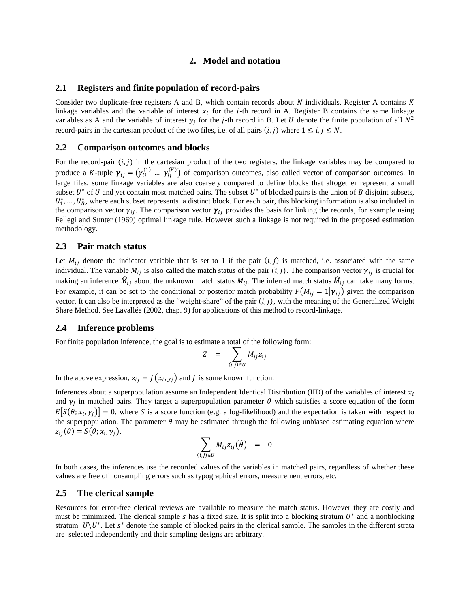### **2. Model and notation**

### **2.1 Registers and finite population of record-pairs**

Consider two duplicate-free registers A and B, which contain records about  $N$  individuals. Register A contains  $K$ linkage variables and the variable of interest  $x_i$  for the *i*-th record in A. Register B contains the same linkage variables as A and the variable of interest  $y_j$  for the *j*-th record in B. Let U denote the finite population of all  $N^2$ record-pairs in the cartesian product of the two files, i.e. of all pairs  $(i, j)$  where  $1 \le i, j \le N$ .

#### **2.2 Comparison outcomes and blocks**

For the record-pair  $(i, j)$  in the cartesian product of the two registers, the linkage variables may be compared to produce a K-tuple  $\gamma_{ij} = (\gamma_{ij}^{(1)}, ..., \gamma_{ij}^{(K)})$  of comparison outcomes, also called vector of comparison outcomes. In large files, some linkage variables are also coarsely compared to define blocks that altogether represent a small subset  $U^*$  of  $U$  and yet contain most matched pairs. The subset  $U^*$  of blocked pairs is the union of  $B$  disjoint subsets,  $U_1^*, \ldots, U_B^*$ , where each subset represents a distinct block. For each pair, this blocking information is also included in the comparison vector  $\gamma_{ij}$ . The comparison vector  $\gamma_{ij}$  provides the basis for linking the records, for example using Fellegi and Sunter (1969) optimal linkage rule. However such a linkage is not required in the proposed estimation methodology.

### **2.3 Pair match status**

Let  $M_{ij}$  denote the indicator variable that is set to 1 if the pair  $(i, j)$  is matched, i.e. associated with the same individual. The variable  $M_{ij}$  is also called the match status of the pair  $(i, j)$ . The comparison vector  $\gamma_{ij}$  is crucial for making an inference  $\hat{M}_{ij}$  about the unknown match status  $M_{ij}$ . The inferred match status  $\hat{M}_{ij}$  can take many forms. For example, it can be set to the conditional or posterior match probability  $P(M_{ii} = 1|\gamma_{ii})$  given the comparison vector. It can also be interpreted as the "weight-share" of the pair  $(i, j)$ , with the meaning of the Generalized Weight Share Method. See Lavallée (2002, chap. 9) for applications of this method to record-linkage.

#### **2.4 Inference problems**

For finite population inference, the goal is to estimate a total of the following form:

$$
Z = \sum_{(i,j)\in U} M_{ij} z_{ij}
$$

In the above expression,  $z_{ij} = f(x_i, y_j)$  and f is some known function.

Inferences about a superpopulation assume an Independent Identical Distribution (IID) of the variables of interest  $x_i$ and  $y_j$  in matched pairs. They target a superpopulation parameter  $\theta$  which satisfies a score equation of the form  $E[S(\theta; x_i, y_j)] = 0$ , where S is a score function (e.g. a log-likelihood) and the expectation is taken with respect to the superpopulation. The parameter  $\theta$  may be estimated through the following unbiased estimating equation where  $z_{ij}(\theta) = S(\theta; x_i, y_j).$ 

$$
\sum_{(i,j)\in U} M_{ij} z_{ij}(\hat{\theta}) = 0
$$

In both cases, the inferences use the recorded values of the variables in matched pairs, regardless of whether these values are free of nonsampling errors such as typographical errors, measurement errors, etc.

### **2.5 The clerical sample**

Resources for error-free clerical reviews are available to measure the match status. However they are costly and must be minimized. The clerical sample s has a fixed size. It is split into a blocking stratum  $U^*$  and a nonblocking stratum  $U \setminus U^*$ . Let s<sup>\*</sup> denote the sample of blocked pairs in the clerical sample. The samples in the different strata are selected independently and their sampling designs are arbitrary.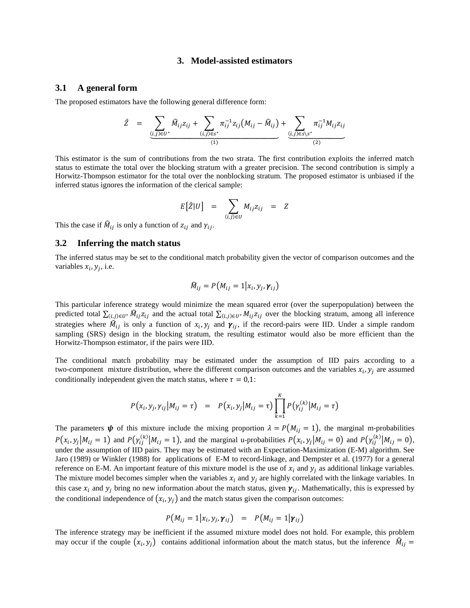#### **3. Model-assisted estimators**

### **3.1 A general form**

The proposed estimators have the following general difference form:

$$
\hat{Z} = \underbrace{\sum_{(i,j)\in U^*} \hat{M}_{ij} z_{ij} + \sum_{(i,j)\in s^*} \pi_{ij}^{-1} z_{ij} (M_{ij} - \hat{M}_{ij})}_{(1)} + \underbrace{\sum_{(i,j)\in s\backslash s^*} \pi_{ij}^{-1} M_{ij} z_{ij}}_{(2)}
$$

This estimator is the sum of contributions from the two strata. The first contribution exploits the inferred match status to estimate the total over the blocking stratum with a greater precision. The second contribution is simply a Horwitz-Thompson estimator for the total over the nonblocking stratum. The proposed estimator is unbiased if the inferred status ignores the information of the clerical sample:

$$
E[\hat{Z}|U] = \sum_{(i,j)\in U} M_{ij}z_{ij} = Z
$$

This the case if  $\widehat{M}_{ij}$  is only a function of  $z_{ij}$  and  $\gamma_{ij}$ .

#### **3.2 Inferring the match status**

The inferred status may be set to the conditional match probability given the vector of comparison outcomes and the variables  $x_i$ ,  $y_j$ , i.e.

$$
\widehat{M}_{ij} = P(M_{ij} = 1 | x_i, y_j, \boldsymbol{\gamma}_{ij})
$$

This particular inference strategy would minimize the mean squared error (over the superpopulation) between the predicted total  $\sum_{(i,j)\in U^*} M_{ij} z_{ij}$  and the actual total  $\sum_{(i,j)\in U^*} M_{ij} z_{ij}$  over the blocking stratum, among all inference strategies where  $\hat{M}_{ij}$  is only a function of  $x_i, y_j$  and  $\gamma_{ij}$ , if the record-pairs were IID. Under a simple random sampling (SRS) design in the blocking stratum, the resulting estimator would also be more efficient than the Horwitz-Thompson estimator, if the pairs were IID.

The conditional match probability may be estimated under the assumption of IID pairs according to a two-component mixture distribution, where the different comparison outcomes and the variables  $x_i$ ,  $y_j$  are assumed conditionally independent given the match status, where  $\tau = 0.1$ :

$$
P(x_i, y_j, \gamma_{ij} | M_{ij} = \tau) = P(x_i, y_j | M_{ij} = \tau) \prod_{k=1}^{K} P(\gamma_{ij}^{(k)} | M_{ij} = \tau)
$$

The parameters  $\psi$  of this mixture include the mixing proportion  $\lambda = P(M_{ij} = 1)$ , the marginal m-probabilities  $P(x_i, y_j | M_{ij} = 1)$  and  $P(y_{ij}^{(k)} | M_{ij} = 1)$ , and the marginal u-probabilities  $P(x_i, y_j | M_{ij} = 0)$  and  $P(y_{ij}^{(k)} | M_{ij} = 0)$ , under the assumption of IID pairs. They may be estimated with an Expectation-Maximization (E-M) algorithm. See Jaro (1989) or Winkler (1988) for applications of E-M to record-linkage, and Dempster et al. (1977) for a general reference on E-M. An important feature of this mixture model is the use of  $x_i$  and  $y_j$  as additional linkage variables. The mixture model becomes simpler when the variables  $x_i$  and  $y_i$  are highly correlated with the linkage variables. In this case  $x_i$  and  $y_j$  bring no new information about the match status, given  $\gamma_{ij}$ . Mathematically, this is expressed by the conditional independence of  $(x_i, y_j)$  and the match status given the comparison outcomes:

$$
P(M_{ij} = 1 | x_i, y_j, \boldsymbol{\gamma}_{ij}) = P(M_{ij} = 1 | \boldsymbol{\gamma}_{ij})
$$

The inference strategy may be inefficient if the assumed mixture model does not hold. For example, this problem may occur if the couple  $(x_i, y_j)$  contains additional information about the match status, but the inference  $\hat{M}_{ij}$  =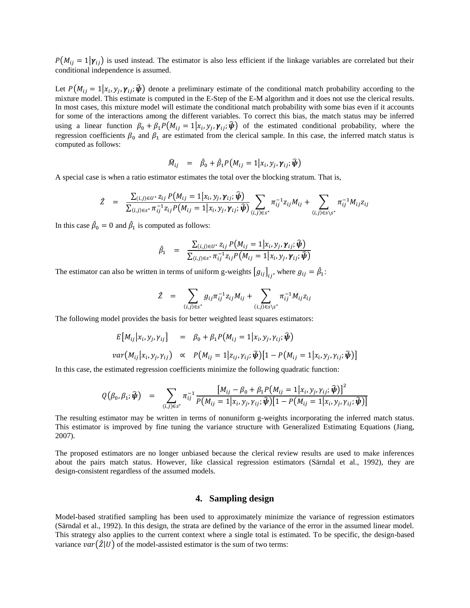$P(M_{ii} = 1|\gamma_{ii})$  is used instead. The estimator is also less efficient if the linkage variables are correlated but their conditional independence is assumed.

Let  $P(M_{ij} = 1|x_i, y_j, \gamma_{ij}; \hat{\psi})$  denote a preliminary estimate of the conditional match probability according to the mixture model. This estimate is computed in the E-Step of the E-M algorithm and it does not use the clerical results. In most cases, this mixture model will estimate the conditional match probability with some bias even if it accounts for some of the interactions among the different variables. To correct this bias, the match status may be inferred using a linear function  $\beta_0 + \beta_1 P(M_{ij} = 1 | x_i, y_j, \gamma_{ij}; \hat{\psi})$  of the estimated conditional probability, where the regression coefficients  $\beta_0$  and  $\beta_1$  are estimated from the clerical sample. In this case, the inferred match status is computed as follows:

$$
\widehat{M}_{ij} = \widehat{\beta}_0 + \widehat{\beta}_1 P(M_{ij} = 1 | x_i, y_j, \gamma_{ij}; \widehat{\boldsymbol{\psi}})
$$

A special case is when a ratio estimator estimates the total over the blocking stratum. That is,

$$
\hat{Z} = \frac{\sum_{(i,j)\in U^*} z_{ij} P(M_{ij} = 1 | x_i, y_j, \gamma_{ij}; \hat{\psi})}{\sum_{(i,j)\in S^*} \pi_{ij}^{-1} z_{ij} P(M_{ij} = 1 | x_i, y_j, \gamma_{ij}; \hat{\psi})} \sum_{(i,j)\in S^*} \pi_{ij}^{-1} z_{ij} M_{ij} + \sum_{(i,j)\in S\setminus S^*} \pi_{ij}^{-1} M_{ij} z_{ij}
$$

In this case  $\hat{\beta}_0 = 0$  and  $\hat{\beta}_1$  is computed as follows:

$$
\hat{\beta}_1 = \frac{\sum_{(i,j)\in U^*} z_{ij} P(M_{ij} = 1 | x_i, y_j, \gamma_{ij}; \hat{\boldsymbol{\psi}})}{\sum_{(i,j)\in S^*} \pi_{ij}^{-1} z_{ij} P(M_{ij} = 1 | x_i, y_j, \gamma_{ij}; \hat{\boldsymbol{\psi}})}
$$

The estimator can also be written in terms of uniform g-weights  $[g_{ij}]_{ij}$ , where  $g_{ij} = \hat{\beta}_1$ :

$$
\hat{Z} = \sum_{(i,j) \in s^*} g_{ij} \pi_{ij}^{-1} z_{ij} M_{ij} + \sum_{(i,j) \in s \backslash s^*} \pi_{ij}^{-1} M_{ij} z_{ij}
$$

The following model provides the basis for better weighted least squares estimators:

$$
E[M_{ij}|x_i, y_j, \gamma_{ij}] = \beta_0 + \beta_1 P(M_{ij} = 1 | x_i, y_j, \gamma_{ij}; \hat{\boldsymbol{\psi}})
$$
  
var
$$
(M_{ij}|x_i, y_j, \gamma_{ij}) \propto P(M_{ij} = 1 | z_{ij}, \gamma_{ij}; \hat{\boldsymbol{\psi}})[1 - P(M_{ij} = 1 | x_i, y_j, \gamma_{ij}; \hat{\boldsymbol{\psi}})]
$$

In this case, the estimated regression coefficients minimize the following quadratic function:

$$
Q(\beta_0, \beta_1; \widehat{\boldsymbol{\psi}}) = \sum_{(i,j) \in S^*} \pi_{ij}^{-1} \frac{[M_{ij} - \beta_0 + \beta_1 P(M_{ij} = 1 | x_i, y_j, \gamma_{ij}; \widehat{\boldsymbol{\psi}})]^2}{P(M_{ij} = 1 | x_i, y_j, \gamma_{ij}; \widehat{\boldsymbol{\psi}})[1 - P(M_{ij} = 1 | x_i, y_j, \gamma_{ij}; \widehat{\boldsymbol{\psi}})]}
$$

The resulting estimator may be written in terms of nonuniform g-weights incorporating the inferred match status. This estimator is improved by fine tuning the variance structure with Generalized Estimating Equations (Jiang, 2007).

The proposed estimators are no longer unbiased because the clerical review results are used to make inferences about the pairs match status. However, like classical regression estimators (Särndal et al., 1992), they are design-consistent regardless of the assumed models.

### **4. Sampling design**

Model-based stratified sampling has been used to approximately minimize the variance of regression estimators (Särndal et al., 1992). In this design, the strata are defined by the variance of the error in the assumed linear model. This strategy also applies to the current context where a single total is estimated. To be specific, the design-based variance  $var(\hat{Z}|U)$  of the model-assisted estimator is the sum of two terms: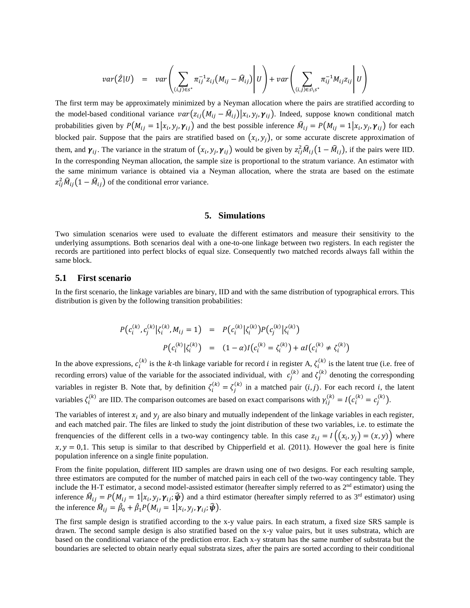$$
var(\hat{Z}|U) = var\left(\sum_{(i,j)\in S^*} \pi_{ij}^{-1} z_{ij} (M_{ij} - \hat{M}_{ij})\middle| U\right) + var\left(\sum_{(i,j)\in S\setminus S^*} \pi_{ij}^{-1} M_{ij} z_{ij}\middle| U\right)
$$

The first term may be approximately minimized by a Neyman allocation where the pairs are stratified according to the model-based conditional variance  $var(z_{ij}(M_{ij} - \hat{M}_{ij})|x_i, y_j, \gamma_{ij})$ . Indeed, suppose known conditional match probabilities given by  $P(M_{ij} = 1 | x_i, y_j, \gamma_{ij})$  and the best possible inference  $\hat{M}_{ij} = P(M_{ij} = 1 | x_i, y_j, \gamma_{ij})$  for each blocked pair. Suppose that the pairs are stratified based on  $(x_i, y_j)$ , or some accurate discrete approximation of them, and  $\gamma_{ij}$ . The variance in the stratum of  $(x_i, y_j, \gamma_{ij})$  would be given by  $z_{ij}^2 \mathcal{M}_{ij} (1 - \mathcal{M}_{ij})$ , if the pairs were IID. In the corresponding Neyman allocation, the sample size is proportional to the stratum variance. An estimator with the same minimum variance is obtained via a Neyman allocation, where the strata are based on the estimate  $z_{ij}^2 \hat{M}_{ij} (1 - \hat{M}_{ij})$  of the conditional error variance.

### **5. Simulations**

Two simulation scenarios were used to evaluate the different estimators and measure their sensitivity to the underlying assumptions. Both scenarios deal with a one-to-one linkage between two registers. In each register the records are partitioned into perfect blocks of equal size. Consequently two matched records always fall within the same block.

### **5.1 First scenario**

In the first scenario, the linkage variables are binary, IID and with the same distribution of typographical errors. This distribution is given by the following transition probabilities:

$$
P(c_i^{(k)}, c_j^{(k)} | \zeta_i^{(k)}, M_{ij} = 1) = P(c_i^{(k)} | \zeta_i^{(k)}) P(c_j^{(k)} | \zeta_i^{(k)})
$$
  

$$
P(c_i^{(k)} | \zeta_i^{(k)}) = (1 - \alpha)I(c_i^{(k)} = \zeta_i^{(k)}) + \alpha I(c_i^{(k)} \neq \zeta_i^{(k)})
$$

In the above expressions,  $c_i^{(k)}$  is the k-th linkage variable for record *i* in register A,  $\zeta_i^{(k)}$  is the latent true (i.e. free of recording errors) value of the variable for the associated individual, with  $c_j^{(k)}$  and  $\zeta_j^{(k)}$  denoting the corresponding variables in register B. Note that, by definition  $\zeta_i^{(k)} = \zeta_j^{(k)}$  in a matched pair  $(i, j)$ . For each record i, the latent variables  $\zeta_i^{(k)}$  are IID. The comparison outcomes are based on exact comparisons with  $\gamma_{ij}^{(k)} = I(c_i^{(k)} = c_j^{(k)}).$ 

The variables of interest  $x_i$  and  $y_i$  are also binary and mutually independent of the linkage variables in each register, and each matched pair. The files are linked to study the joint distribution of these two variables, i.e. to estimate the frenquencies of the different cells in a two-way contingency table. In this case  $z_{ij} = I((x_i, y_j) = (x, y))$  where  $x, y = 0,1$ . This setup is similar to that described by Chipperfield et al. (2011). However the goal here is finite population inference on a single finite population.

From the finite population, different IID samples are drawn using one of two designs. For each resulting sample, three estimators are computed for the number of matched pairs in each cell of the two-way contingency table. They include the H-T estimator, a second model-assisted estimator (hereafter simply referred to as 2<sup>nd</sup> estimator) using the inference  $\hat{M}_{ij} = P(M_{ij} = 1 | x_i, y_j, \gamma_{ij}; \hat{\psi})$  and a third estimator (hereafter simply referred to as 3<sup>rd</sup> estimator) using the inference  $\widehat{M}_{ij} = \widehat{\beta}_0 + \widehat{\beta}_1 P(M_{ij} = 1 | x_i, y_j, \gamma_{ij}; \widehat{\boldsymbol{\psi}}).$ 

The first sample design is stratified according to the x-y value pairs. In each stratum, a fixed size SRS sample is drawn. The second sample design is also stratified based on the x-y value pairs, but it uses substrata, which are based on the conditional variance of the prediction error. Each x-y stratum has the same number of substrata but the boundaries are selected to obtain nearly equal substrata sizes, after the pairs are sorted according to their conditional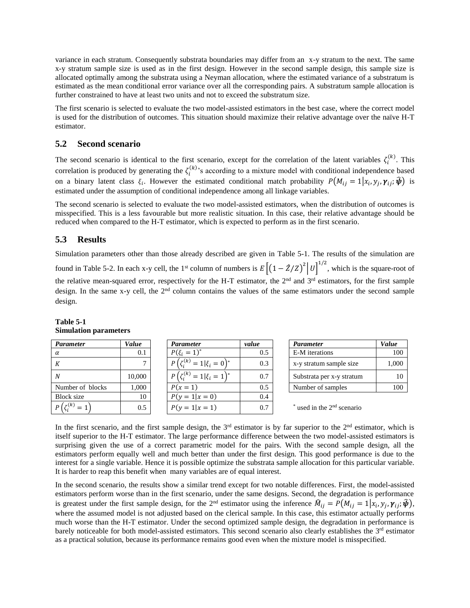variance in each stratum. Consequently substrata boundaries may differ from an x-y stratum to the next. The same x-y stratum sample size is used as in the first design. However in the second sample design, this sample size is allocated optimally among the substrata using a Neyman allocation, where the estimated variance of a substratum is estimated as the mean conditional error variance over all the corresponding pairs. A substratum sample allocation is further constrained to have at least two units and not to exceed the substratum size.

The first scenario is selected to evaluate the two model-assisted estimators in the best case, where the correct model is used for the distribution of outcomes. This situation should maximize their relative advantage over the naïve H-T estimator.

# **5.2 Second scenario**

The second scenario is identical to the first scenario, except for the correlation of the latent variables  $\zeta_i^{(k)}$ . This correlation is produced by generating the  $\zeta_i^{(k)}$ 's according to a mixture model with conditional independence based on a binary latent class  $\xi_i$ . However the estimated conditional match probability  $P(M_{ij} = 1 | x_i, y_j, \gamma_{ij}; \hat{\psi})$  is estimated under the assumption of conditional independence among all linkage variables.

The second scenario is selected to evaluate the two model-assisted estimators, when the distribution of outcomes is misspecified. This is a less favourable but more realistic situation. In this case, their relative advantage should be reduced when compared to the H-T estimator, which is expected to perform as in the first scenario.

# **5.3 Results**

Simulation parameters other than those already described are given in Table 5-1. The results of the simulation are found in Table 5-2. In each x-y cell, the 1<sup>st</sup> column of numbers is  $E\left[\left(1-\frac{2}{Z}\right)^{2}\right]U\right]^{1/2}$ , which is the square-root of the relative mean-squared error, respectively for the H-T estimator, the  $2<sup>nd</sup>$  and  $3<sup>rd</sup>$  estimators, for the first sample design. In the same x-y cell, the 2<sup>nd</sup> column contains the values of the same estimators under the second sample design.

#### *Parameter Value Parameter value Parameter Value*  $\alpha$  0.1  $P(\xi_i = 1)^{t}$ 0.5 E-M iterations 100 K  $7$  |  $P(\zeta_i)$  $P(\zeta_i^{(k)} = 1 | \xi_i = 0)$  $\begin{array}{|c|c|c|c|c|c|c|c|} \hline 0.3 & x-y \text{ stratum sample size} & 1,000 \hline \end{array}$ N 10,000  $P(\zeta_i^{(k)} = 1 | \xi_i = 1)$ 0.7 Substrata per x-y stratum 10 Number of blocks  $\begin{array}{|c|c|c|c|c|} \hline 1,000 & P(x=1) & 0.5 & \text{Number of samples} \hline \end{array}$  100 Block size 10  $P(y = 1 | x = 0)$  0.4  $P(\zeta_i^{(k)}=1$ 0.5  $\vert P(y=1|x=1)$   $\vert 0.7 \vert$  \* used in the 2<sup>nd</sup> scenario

# **Table 5-1 Simulation parameters**

In the first scenario, and the first sample design, the  $3<sup>rd</sup>$  estimator is by far superior to the  $2<sup>nd</sup>$  estimator, which is itself superior to the H-T estimator. The large performance difference between the two model-assisted estimators is surprising given the use of a correct parametric model for the pairs. With the second sample design, all the estimators perform equally well and much better than under the first design. This good performance is due to the interest for a single variable. Hence it is possible optimize the substrata sample allocation for this particular variable. It is harder to reap this benefit when many variables are of equal interest.

In the second scenario, the results show a similar trend except for two notable differences. First, the model-assisted estimators perform worse than in the first scenario, under the same designs. Second, the degradation is performance is greatest under the first sample design, for the 2<sup>nd</sup> estimator using the inference  $\hat{M}_{ij} = P(M_{ij} = 1 | x_i, y_j, \gamma_{ij}; \hat{\psi})$ , where the assumed model is not adjusted based on the clerical sample. In this case, this estimator actually performs much worse than the H-T estimator. Under the second optimized sample design, the degradation in performance is barely noticeable for both model-assisted estimators. This second scenario also clearly establishes the 3<sup>rd</sup> estimator as a practical solution, because its performance remains good even when the mixture model is misspecified.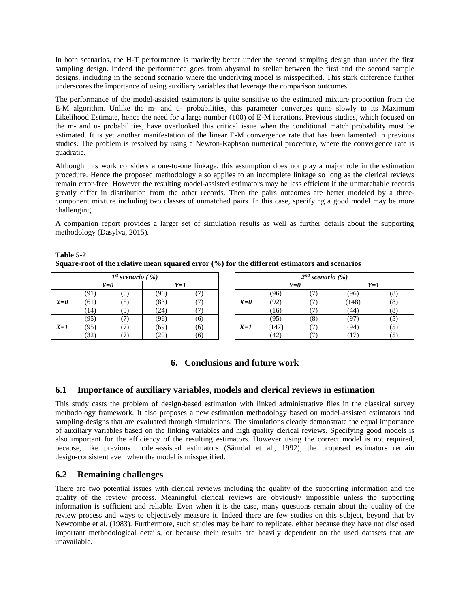In both scenarios, the H-T performance is markedly better under the second sampling design than under the first sampling design. Indeed the performance goes from abysmal to stellar between the first and the second sample designs, including in the second scenario where the underlying model is misspecified. This stark difference further underscores the importance of using auxiliary variables that leverage the comparison outcomes.

The performance of the model-assisted estimators is quite sensitive to the estimated mixture proportion from the E-M algorithm. Unlike the m- and u- probabilities, this parameter converges quite slowly to its Maximum Likelihood Estimate, hence the need for a large number (100) of E-M iterations. Previous studies, which focused on the m- and u- probabilities, have overlooked this critical issue when the conditional match probability must be estimated. It is yet another manifestation of the linear E-M convergence rate that has been lamented in previous studies. The problem is resolved by using a Newton-Raphson numerical procedure, where the convergence rate is quadratic.

Although this work considers a one-to-one linkage, this assumption does not play a major role in the estimation procedure. Hence the proposed methodology also applies to an incomplete linkage so long as the clerical reviews remain error-free. However the resulting model-assisted estimators may be less efficient if the unmatchable records greatly differ in distribution from the other records. Then the pairs outcomes are better modeled by a threecomponent mixture including two classes of unmatched pairs. In this case, specifying a good model may be more challenging.

A companion report provides a larger set of simulation results as well as further details about the supporting methodology (Dasylva, 2015).

| Table 5-2                                                                                     |  |
|-----------------------------------------------------------------------------------------------|--|
| Square-root of the relative mean squared error (%) for the different estimators and scenarios |  |

| $1^{st}$ scenario (%) |      |     |      |               | $2^{nd}$ scenario $(\%)$ |       |     |       |     |
|-----------------------|------|-----|------|---------------|--------------------------|-------|-----|-------|-----|
|                       | Y=0  |     | Y=1  |               |                          | Y=0   |     | Y=1   |     |
|                       | (91) | (5) | (96) | $\prime$      |                          | (96)  |     | (96)  | (8) |
| $X=0$                 | (61) | (5) | (83) | $\frac{1}{2}$ | $X=0$                    | (92)  |     | (148) | (8) |
|                       | (14) |     | (24) |               |                          | (16)  |     | (44)  | (8) |
|                       | (95) |     | (96) | (6)           |                          | (95)  | (8) | (97)  | C)  |
| $X=1$                 | (95) |     | (69) | (6)           | $X=1$                    | (147) |     | (94)  | (5  |
|                       | (32) |     | (20) | (6)           |                          | (42)  |     | 17    |     |

# **6. Conclusions and future work**

# **6.1 Importance of auxiliary variables, models and clerical reviews in estimation**

This study casts the problem of design-based estimation with linked administrative files in the classical survey methodology framework. It also proposes a new estimation methodology based on model-assisted estimators and sampling-designs that are evaluated through simulations. The simulations clearly demonstrate the equal importance of auxiliary variables based on the linking variables and high quality clerical reviews. Specifying good models is also important for the efficiency of the resulting estimators. However using the correct model is not required, because, like previous model-assisted estimators (Särndal et al., 1992), the proposed estimators remain design-consistent even when the model is misspecified.

# **6.2 Remaining challenges**

There are two potential issues with clerical reviews including the quality of the supporting information and the quality of the review process. Meaningful clerical reviews are obviously impossible unless the supporting information is sufficient and reliable. Even when it is the case, many questions remain about the quality of the review process and ways to objectively measure it. Indeed there are few studies on this subject, beyond that by Newcombe et al. (1983). Furthermore, such studies may be hard to replicate, either because they have not disclosed important methodological details, or because their results are heavily dependent on the used datasets that are unavailable.